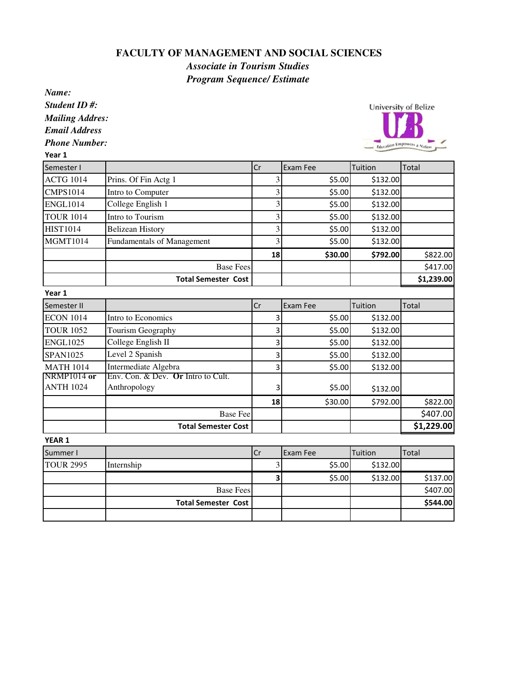## **FACULTY OF MANAGEMENT AND SOCIAL SCIENCES**

*Associate in Tourism Studies*

*Program Sequence/ EstimateName: Student ID #:* **University of Belize** *Mailing Addres: Email Address Phone Number:* Education Empowers a N Year 1 Semester I Cr Exam Fee Tuition Total ACTG 1014 Prins. Of Fin Actg 1 3 3 \$5.00 \$132.00 CMPS1014 Intro to Computer 3 \$5.00 \$132.00 ENGL1014  $\vert$  College English 1  $\vert$  3  $\vert$  55.00 \$132.00 TOUR 1014 Intro to Tourism  $\begin{array}{ccc} 3 & 3 & 55.00 & 5132.00 \end{array}$ HIST1014 Belizean History 1 3 \$5.00 \$132.00 MGMT1014 Fundamentals of Management  $\begin{array}{|c|c|c|c|c|c|c|c|} \hline \text{S} & \text{S} & \text{S} & \text{S} & \text{S} & \text{S} & \text{S} \\ \hline \end{array}$ 18 530.00 5792.00 5822.00 Base Fees \$417.00 Total Semester Cost \$1,239.00 Year 1 Semester II Cr Exam Fee Tuition Total  $ECON 1014$  Intro to Economics  $\begin{vmatrix} 3 & 3 \\ 3 & 5.00 \end{vmatrix}$  \$132.00 TOUR 1052 Tourism Geography 3 \$5.00 \$132.00 ENGL1025  $\vert$  College English II 3 3  $\vert$  3  $\vert$  55.00 \$132.00  $SPAN1025$  Level 2 Spanish  $3$  3  $\frac{1}{2}$  \$132.00 MATH 1014 Intermediate Algebra 1 3 \$5.00 \$132.00 NRMP1014 **or**  Env. Con. & Dev. **Or** Intro to Cult. ANTH 1024 Anthropology 13 3 \$5.00 \$132.00 18 \$30.00 \$792.00 \$822.00 Base Fee \$407.00 Total Semester Cost \$1,229.00 YEAR 1 Summer I Cr Exam Fee Tuition Total TOUR 2995 Internship 3 \$5.00 \$132.00  $3$  \$5.00 \$132.00 \$137.00 Base Fees  $\vert$  \$407.00 Total Semester Cost \$544.00